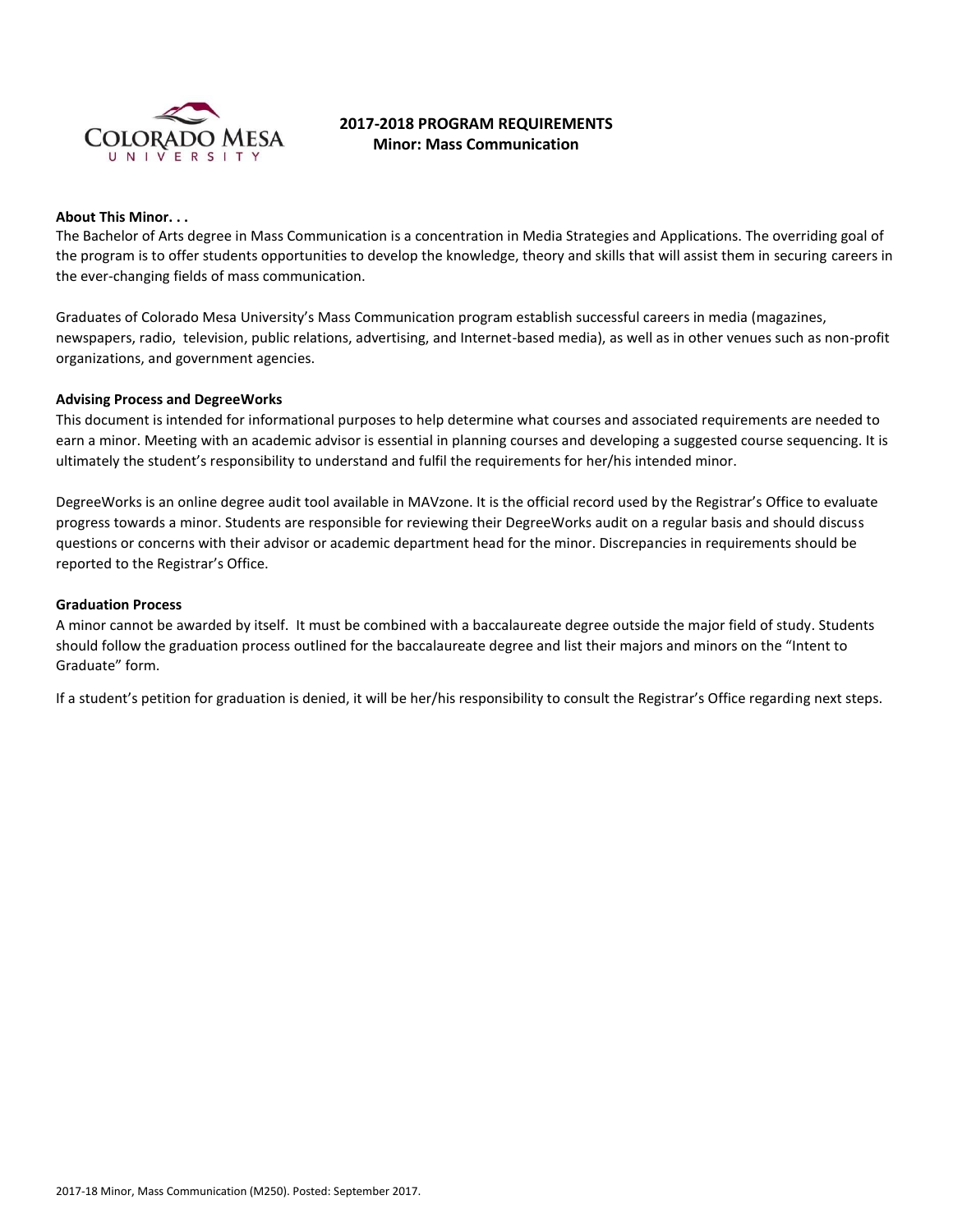

# **2017-2018 PROGRAM REQUIREMENTS Minor: Mass Communication**

#### **About This Minor. . .**

The Bachelor of Arts degree in Mass Communication is a concentration in Media Strategies and Applications. The overriding goal of the program is to offer students opportunities to develop the knowledge, theory and skills that will assist them in securing careers in the ever-changing fields of mass communication.

Graduates of Colorado Mesa University's Mass Communication program establish successful careers in media (magazines, newspapers, radio, television, public relations, advertising, and Internet-based media), as well as in other venues such as non-profit organizations, and government agencies.

#### **Advising Process and DegreeWorks**

This document is intended for informational purposes to help determine what courses and associated requirements are needed to earn a minor. Meeting with an academic advisor is essential in planning courses and developing a suggested course sequencing. It is ultimately the student's responsibility to understand and fulfil the requirements for her/his intended minor.

DegreeWorks is an online degree audit tool available in MAVzone. It is the official record used by the Registrar's Office to evaluate progress towards a minor. Students are responsible for reviewing their DegreeWorks audit on a regular basis and should discuss questions or concerns with their advisor or academic department head for the minor. Discrepancies in requirements should be reported to the Registrar's Office.

### **Graduation Process**

A minor cannot be awarded by itself. It must be combined with a baccalaureate degree outside the major field of study. Students should follow the graduation process outlined for the baccalaureate degree and list their majors and minors on the "Intent to Graduate" form.

If a student's petition for graduation is denied, it will be her/his responsibility to consult the Registrar's Office regarding next steps.